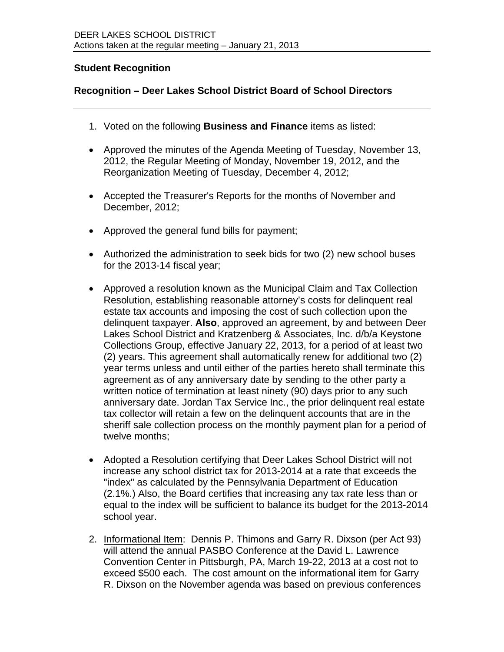## **Student Recognition**

## **Recognition – Deer Lakes School District Board of School Directors**

- 1. Voted on the following **Business and Finance** items as listed:
- Approved the minutes of the Agenda Meeting of Tuesday, November 13, 2012, the Regular Meeting of Monday, November 19, 2012, and the Reorganization Meeting of Tuesday, December 4, 2012;
- Accepted the Treasurer's Reports for the months of November and December, 2012;
- Approved the general fund bills for payment;
- Authorized the administration to seek bids for two (2) new school buses for the 2013-14 fiscal year;
- Approved a resolution known as the Municipal Claim and Tax Collection Resolution, establishing reasonable attorney's costs for delinquent real estate tax accounts and imposing the cost of such collection upon the delinquent taxpayer. **Also**, approved an agreement, by and between Deer Lakes School District and Kratzenberg & Associates, Inc. d/b/a Keystone Collections Group, effective January 22, 2013, for a period of at least two (2) years. This agreement shall automatically renew for additional two (2) year terms unless and until either of the parties hereto shall terminate this agreement as of any anniversary date by sending to the other party a written notice of termination at least ninety (90) days prior to any such anniversary date. Jordan Tax Service Inc., the prior delinquent real estate tax collector will retain a few on the delinquent accounts that are in the sheriff sale collection process on the monthly payment plan for a period of twelve months;
- Adopted a Resolution certifying that Deer Lakes School District will not increase any school district tax for 2013-2014 at a rate that exceeds the "index" as calculated by the Pennsylvania Department of Education (2.1%.) Also, the Board certifies that increasing any tax rate less than or equal to the index will be sufficient to balance its budget for the 2013-2014 school year.
- 2. Informational Item: Dennis P. Thimons and Garry R. Dixson (per Act 93) will attend the annual PASBO Conference at the David L. Lawrence Convention Center in Pittsburgh, PA, March 19-22, 2013 at a cost not to exceed \$500 each. The cost amount on the informational item for Garry R. Dixson on the November agenda was based on previous conferences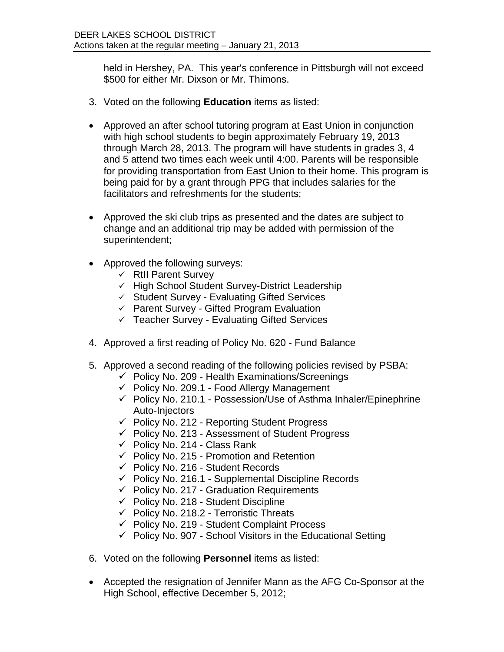held in Hershey, PA. This year's conference in Pittsburgh will not exceed \$500 for either Mr. Dixson or Mr. Thimons.

- 3. Voted on the following **Education** items as listed:
- Approved an after school tutoring program at East Union in conjunction with high school students to begin approximately February 19, 2013 through March 28, 2013. The program will have students in grades 3, 4 and 5 attend two times each week until 4:00. Parents will be responsible for providing transportation from East Union to their home. This program is being paid for by a grant through PPG that includes salaries for the facilitators and refreshments for the students;
- Approved the ski club trips as presented and the dates are subject to change and an additional trip may be added with permission of the superintendent;
- Approved the following surveys:
	- $\checkmark$  RtII Parent Survey
	- $\checkmark$  High School Student Survey-District Leadership
	- $\checkmark$  Student Survey Evaluating Gifted Services
	- $\checkmark$  Parent Survey Gifted Program Evaluation
	- $\checkmark$  Teacher Survey Evaluating Gifted Services
- 4. Approved a first reading of Policy No. 620 Fund Balance
- 5. Approved a second reading of the following policies revised by PSBA:
	- $\checkmark$  Policy No. 209 Health Examinations/Screenings
	- $\checkmark$  Policy No. 209.1 Food Allergy Management
	- $\checkmark$  Policy No. 210.1 Possession/Use of Asthma Inhaler/Epinephrine Auto-Injectors
	- $\checkmark$  Policy No. 212 Reporting Student Progress
	- $\checkmark$  Policy No. 213 Assessment of Student Progress
	- $\checkmark$  Policy No. 214 Class Rank
	- $\checkmark$  Policy No. 215 Promotion and Retention
	- $\checkmark$  Policy No. 216 Student Records
	- $\checkmark$  Policy No. 216.1 Supplemental Discipline Records
	- $\checkmark$  Policy No. 217 Graduation Requirements
	- $\checkmark$  Policy No. 218 Student Discipline
	- $\checkmark$  Policy No. 218.2 Terroristic Threats
	- $\checkmark$  Policy No. 219 Student Complaint Process
	- $\checkmark$  Policy No. 907 School Visitors in the Educational Setting
- 6. Voted on the following **Personnel** items as listed:
- Accepted the resignation of Jennifer Mann as the AFG Co-Sponsor at the High School, effective December 5, 2012;